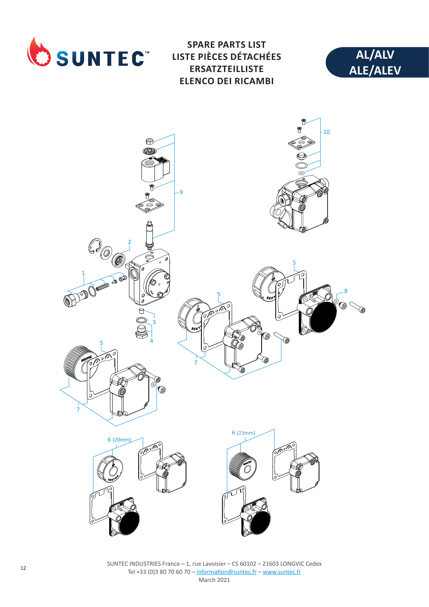

**SPARE PARTS LIST LISTE PIÈCES DÉTACHÉES ERSATZTEILLISTE ELENCO DEI RICAMBI**





SUNTEC INDUSTRIES France – 1, rue Lavoisier – CS 60102 – 21603 LONGVIC Cedex Tel +33 (0)3 80 70 60 70 – information@suntec.fr – www.suntec.fr March 2021